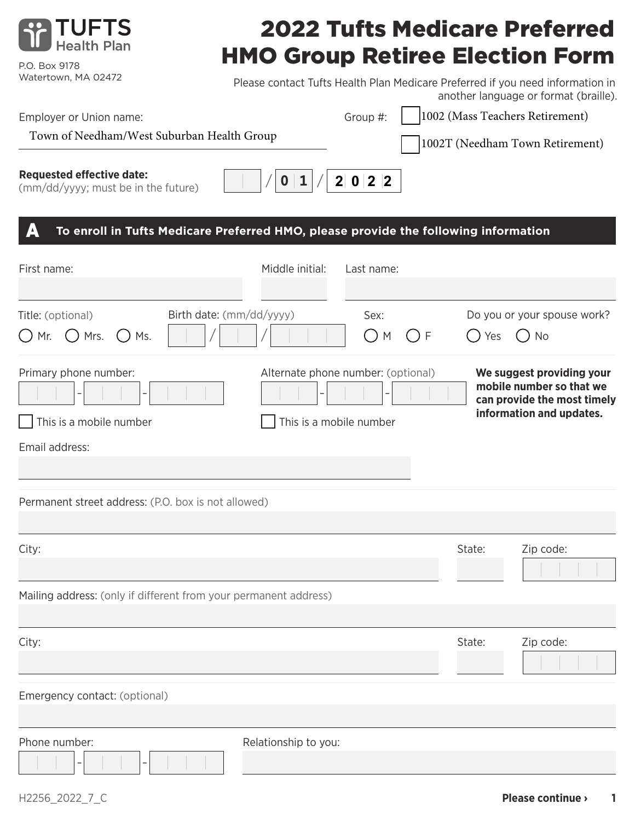

P.O. Box 9178 Watertown, MA 02472

# 2022 Tufts Medicare Preferred HMO Group Retiree Election Form

Please contact Tufts Health Plan Medicare Preferred if you need information in

| Employer or Union name:<br>Town of Needham/West Suburban Health Group                    |                                                               | Group #:     |              | another language or format (braille).<br>1002 (Mass Teachers Retirement)<br>1002T (Needham Town Retirement)      |
|------------------------------------------------------------------------------------------|---------------------------------------------------------------|--------------|--------------|------------------------------------------------------------------------------------------------------------------|
| <b>Requested effective date:</b><br>(mm/dd/yyyy; must be in the future)                  | O                                                             | 2 0 2 2      |              |                                                                                                                  |
| To enroll in Tufts Medicare Preferred HMO, please provide the following information<br>A |                                                               |              |              |                                                                                                                  |
| First name:                                                                              | Middle initial:                                               | Last name:   |              |                                                                                                                  |
| Birth date: (mm/dd/yyyy)<br>Title: (optional)<br>$\bigcup$ Mrs.<br>( ) Mr.<br>Ms.        |                                                               | Sex:<br>() M | ( ) F<br>Yes | Do you or your spouse work?<br>No                                                                                |
| Primary phone number:<br>This is a mobile number                                         | Alternate phone number: (optional)<br>This is a mobile number |              |              | We suggest providing your<br>mobile number so that we<br>can provide the most timely<br>information and updates. |
| Email address:                                                                           |                                                               |              |              |                                                                                                                  |
| Permanent street address: (P.O. box is not allowed)                                      |                                                               |              |              |                                                                                                                  |
| City:                                                                                    |                                                               |              | State:       | Zip code:                                                                                                        |
| Mailing address: (only if different from your permanent address)                         |                                                               |              |              |                                                                                                                  |
| City:                                                                                    |                                                               |              | State:       | Zip code:                                                                                                        |
| Emergency contact: (optional)                                                            |                                                               |              |              |                                                                                                                  |
| Phone number:                                                                            | Relationship to you:                                          |              |              |                                                                                                                  |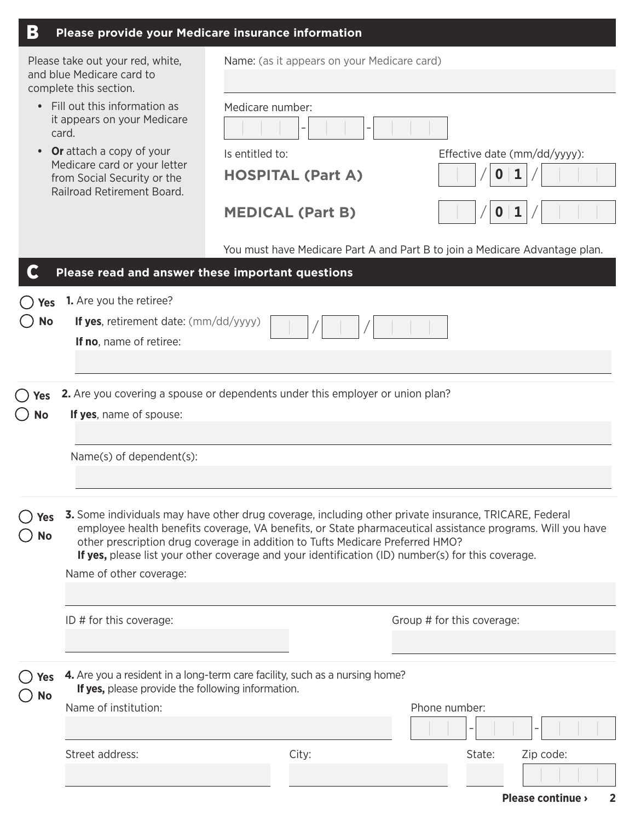| B                                                                                                                                                                                                                                                                                                                                                                                                                                                        | Please provide your Medicare insurance information                                                                               |                                             |                                             |                            |              |                                                                             |
|----------------------------------------------------------------------------------------------------------------------------------------------------------------------------------------------------------------------------------------------------------------------------------------------------------------------------------------------------------------------------------------------------------------------------------------------------------|----------------------------------------------------------------------------------------------------------------------------------|---------------------------------------------|---------------------------------------------|----------------------------|--------------|-----------------------------------------------------------------------------|
| Please take out your red, white,<br>and blue Medicare card to<br>complete this section.<br>Fill out this information as<br>$\bullet$<br>it appears on your Medicare<br>card.<br><b>Or</b> attach a copy of your<br>$\bullet$<br>Medicare card or your letter<br>from Social Security or the<br>Railroad Retirement Board.                                                                                                                                |                                                                                                                                  |                                             | Name: (as it appears on your Medicare card) |                            |              |                                                                             |
|                                                                                                                                                                                                                                                                                                                                                                                                                                                          |                                                                                                                                  | Medicare number:                            |                                             |                            |              |                                                                             |
|                                                                                                                                                                                                                                                                                                                                                                                                                                                          |                                                                                                                                  | Is entitled to:<br><b>HOSPITAL (Part A)</b> |                                             |                            | $\mathbf{0}$ | Effective date (mm/dd/yyyy):<br>1                                           |
|                                                                                                                                                                                                                                                                                                                                                                                                                                                          |                                                                                                                                  | <b>MEDICAL (Part B)</b>                     |                                             |                            | 0            |                                                                             |
|                                                                                                                                                                                                                                                                                                                                                                                                                                                          |                                                                                                                                  |                                             |                                             |                            |              | You must have Medicare Part A and Part B to join a Medicare Advantage plan. |
|                                                                                                                                                                                                                                                                                                                                                                                                                                                          | Please read and answer these important questions                                                                                 |                                             |                                             |                            |              |                                                                             |
| <b>Yes</b>                                                                                                                                                                                                                                                                                                                                                                                                                                               | 1. Are you the retiree?                                                                                                          |                                             |                                             |                            |              |                                                                             |
| <b>No</b>                                                                                                                                                                                                                                                                                                                                                                                                                                                | If yes, retirement date: $\frac{\text{mm}}{\text{dd}}$                                                                           |                                             |                                             |                            |              |                                                                             |
|                                                                                                                                                                                                                                                                                                                                                                                                                                                          | If no, name of retiree:                                                                                                          |                                             |                                             |                            |              |                                                                             |
|                                                                                                                                                                                                                                                                                                                                                                                                                                                          |                                                                                                                                  |                                             |                                             |                            |              |                                                                             |
| res)<br>No                                                                                                                                                                                                                                                                                                                                                                                                                                               | <b>2.</b> Are you covering a spouse or dependents under this employer or union plan?<br>If yes, name of spouse:                  |                                             |                                             |                            |              |                                                                             |
|                                                                                                                                                                                                                                                                                                                                                                                                                                                          |                                                                                                                                  |                                             |                                             |                            |              |                                                                             |
|                                                                                                                                                                                                                                                                                                                                                                                                                                                          | Name(s) of dependent(s):                                                                                                         |                                             |                                             |                            |              |                                                                             |
|                                                                                                                                                                                                                                                                                                                                                                                                                                                          |                                                                                                                                  |                                             |                                             |                            |              |                                                                             |
| <b>3.</b> Some individuals may have other drug coverage, including other private insurance, TRICARE, Federal<br>Yes<br>employee health benefits coverage, VA benefits, or State pharmaceutical assistance programs. Will you have<br>No<br>other prescription drug coverage in addition to Tufts Medicare Preferred HMO?<br>If yes, please list your other coverage and your identification (ID) number(s) for this coverage.<br>Name of other coverage: |                                                                                                                                  |                                             |                                             |                            |              |                                                                             |
|                                                                                                                                                                                                                                                                                                                                                                                                                                                          |                                                                                                                                  |                                             |                                             |                            |              |                                                                             |
|                                                                                                                                                                                                                                                                                                                                                                                                                                                          | ID # for this coverage:                                                                                                          |                                             |                                             | Group # for this coverage: |              |                                                                             |
|                                                                                                                                                                                                                                                                                                                                                                                                                                                          |                                                                                                                                  |                                             |                                             |                            |              |                                                                             |
| Yes<br>No                                                                                                                                                                                                                                                                                                                                                                                                                                                | 4. Are you a resident in a long-term care facility, such as a nursing home?<br>If yes, please provide the following information. |                                             |                                             |                            |              |                                                                             |
|                                                                                                                                                                                                                                                                                                                                                                                                                                                          | Name of institution:                                                                                                             |                                             |                                             | Phone number:              |              |                                                                             |
|                                                                                                                                                                                                                                                                                                                                                                                                                                                          |                                                                                                                                  |                                             |                                             |                            |              |                                                                             |
|                                                                                                                                                                                                                                                                                                                                                                                                                                                          | Street address:                                                                                                                  | City:                                       |                                             |                            | State:       | Zip code:                                                                   |
|                                                                                                                                                                                                                                                                                                                                                                                                                                                          |                                                                                                                                  |                                             |                                             |                            |              |                                                                             |
|                                                                                                                                                                                                                                                                                                                                                                                                                                                          |                                                                                                                                  |                                             |                                             |                            |              |                                                                             |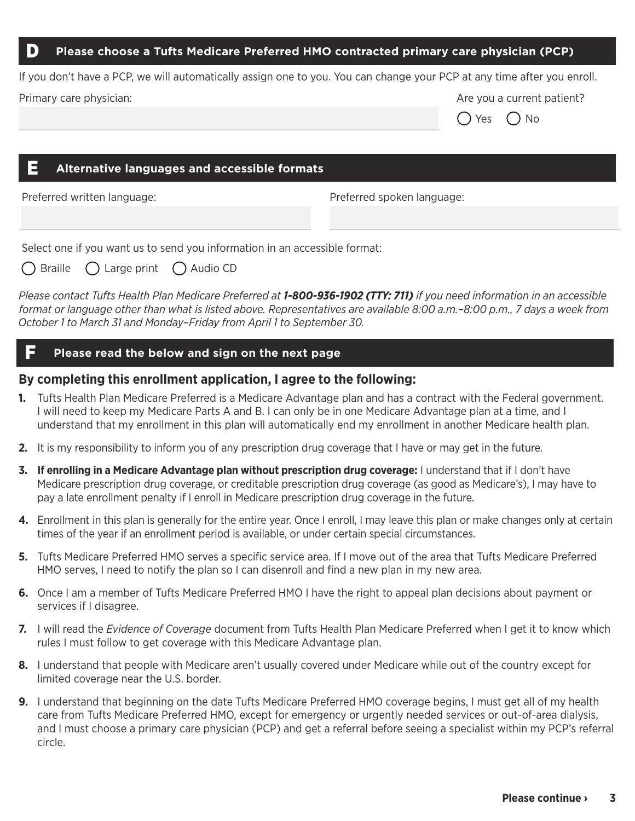#### **Please choose a Tufts Medicare Preferred HMO contracted primary care physician (PCP)** D

|                         | If you don't have a PCP, we will automatically assign one to you. You can change your PCP at any time after you enroll. |
|-------------------------|-------------------------------------------------------------------------------------------------------------------------|
| Primary care physician: | Are you a current patient?                                                                                              |

#### E **Alternative languages and accessible formats**

Preferred written language: Preferred spoken language:

Yes  $()$  No

Select one if you want us to send you information in an accessible format:

| $\bigcirc$ Braille | $\bigcirc$ Large print | ◯ Audio CD |  |
|--------------------|------------------------|------------|--|
|                    |                        |            |  |

*Please contact Tufts Health Plan Medicare Preferred at 1-800-936-1902 (TTY: 711) if you need information in an accessible format or language other than what is listed above. Representatives are available 8:00 a.m.–8:00 p.m., 7 days a week from October 1 to March 31 and Monday–Friday from April 1 to September 30.*

### F **Please read the below and sign on the next page**

#### **By completing this enrollment application, I agree to the following:**

- **1.** Tufts Health Plan Medicare Preferred is a Medicare Advantage plan and has a contract with the Federal government. I will need to keep my Medicare Parts A and B. I can only be in one Medicare Advantage plan at a time, and I understand that my enrollment in this plan will automatically end my enrollment in another Medicare health plan.
- **2.** It is my responsibility to inform you of any prescription drug coverage that I have or may get in the future.
- **3. If enrolling in a Medicare Advantage plan without prescription drug coverage:** I understand that if I don't have Medicare prescription drug coverage, or creditable prescription drug coverage (as good as Medicare's), I may have to pay a late enrollment penalty if I enroll in Medicare prescription drug coverage in the future.
- **4.** Enrollment in this plan is generally for the entire year. Once I enroll, I may leave this plan or make changes only at certain times of the year if an enrollment period is available, or under certain special circumstances.
- **5.** Tufts Medicare Preferred HMO serves a specific service area. If I move out of the area that Tufts Medicare Preferred HMO serves, I need to notify the plan so I can disenroll and find a new plan in my new area.
- **6.** Once I am a member of Tufts Medicare Preferred HMO I have the right to appeal plan decisions about payment or services if I disagree.
- **7.** I will read the *Evidence of Coverage* document from Tufts Health Plan Medicare Preferred when I get it to know which rules I must follow to get coverage with this Medicare Advantage plan.
- **8.** I understand that people with Medicare aren't usually covered under Medicare while out of the country except for limited coverage near the U.S. border.
- **9.** I understand that beginning on the date Tufts Medicare Preferred HMO coverage begins, I must get all of my health care from Tufts Medicare Preferred HMO, except for emergency or urgently needed services or out-of-area dialysis, and I must choose a primary care physician (PCP) and get a referral before seeing a specialist within my PCP's referral circle.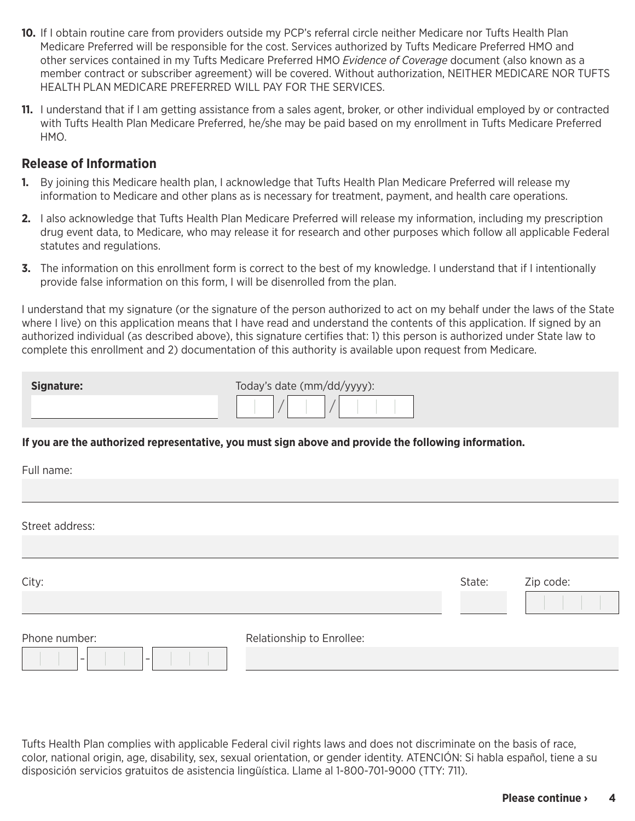- **10.** If I obtain routine care from providers outside my PCP's referral circle neither Medicare nor Tufts Health Plan Medicare Preferred will be responsible for the cost. Services authorized by Tufts Medicare Preferred HMO and other services contained in my Tufts Medicare Preferred HMO *Evidence of Coverage* document (also known as a member contract or subscriber agreement) will be covered. Without authorization, NEITHER MEDICARE NOR TUFTS HEALTH PLAN MEDICARE PREFERRED WILL PAY FOR THE SERVICES.
- **11.** I understand that if I am getting assistance from a sales agent, broker, or other individual employed by or contracted with Tufts Health Plan Medicare Preferred, he/she may be paid based on my enrollment in Tufts Medicare Preferred HMO.

#### **Release of Information**

- **1.** By joining this Medicare health plan, I acknowledge that Tufts Health Plan Medicare Preferred will release my information to Medicare and other plans as is necessary for treatment, payment, and health care operations.
- **2.** I also acknowledge that Tufts Health Plan Medicare Preferred will release my information, including my prescription drug event data, to Medicare, who may release it for research and other purposes which follow all applicable Federal statutes and regulations.
- **3.** The information on this enrollment form is correct to the best of my knowledge. I understand that if I intentionally provide false information on this form, I will be disenrolled from the plan.

I understand that my signature (or the signature of the person authorized to act on my behalf under the laws of the State where I live) on this application means that I have read and understand the contents of this application. If signed by an authorized individual (as described above), this signature certifies that: 1) this person is authorized under State law to complete this enrollment and 2) documentation of this authority is available upon request from Medicare.

| Signature: | Today's date (mm/dd/yyyy): |
|------------|----------------------------|
|            |                            |

#### **If you are the authorized representative, you must sign above and provide the following information.**

| Full name:               |                           |        |           |
|--------------------------|---------------------------|--------|-----------|
|                          |                           |        |           |
| Street address:          |                           |        |           |
|                          |                           |        |           |
| City:                    |                           | State: | Zip code: |
| Phone number:            | Relationship to Enrollee: |        |           |
| $\overline{\phantom{a}}$ |                           |        |           |

Tufts Health Plan complies with applicable Federal civil rights laws and does not discriminate on the basis of race, color, national origin, age, disability, sex, sexual orientation, or gender identity. ATENCIÓN: Si habla español, tiene a su disposición servicios gratuitos de asistencia lingüística. Llame al 1-800-701-9000 (TTY: 711).